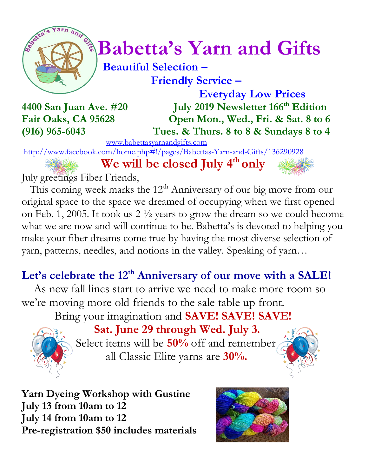

# $\int_{a}^{\frac{1}{2}} \sqrt{\frac{1}{a}} Babetta's Yarn and Gifts$

 **Beautiful Selection – Friendly Service –**

 **Everyday Low Prices 4400 San Juan Ave. #20 July 2019 Newsletter 166 th Edition Fair Oaks, CA 95628 Open Mon., Wed., Fri. & Sat. 8 to 6 (916) 965-6043 Tues. & Thurs. 8 to 8 & Sundays 8 to 4**

[www.babettasyarnandgifts.com](http://www.babettasyarnandgifts.com/)

<http://www.facebook.com/home.php#!/pages/Babettas-Yarn-and-Gifts/136290928>

 **We will be closed July 4th only**

July greetings Fiber Friends,

This coming week marks the  $12<sup>th</sup>$  Anniversary of our big move from our original space to the space we dreamed of occupying when we first opened on Feb. 1, 2005. It took us 2 ½ years to grow the dream so we could become what we are now and will continue to be. Babetta's is devoted to helping you make your fiber dreams come true by having the most diverse selection of yarn, patterns, needles, and notions in the valley. Speaking of yarn…

# **Let's celebrate the 12th Anniversary of our move with a SALE!**

 As new fall lines start to arrive we need to make more room so we're moving more old friends to the sale table up front.

Bring your imagination and **SAVE! SAVE! SAVE!**



 **Sat. June 29 through Wed. July 3.**  Select items will be **50%** off and remember all Classic Elite yarns are **30%.**



**Yarn Dyeing Workshop with Gustine July 13 from 10am to 12 July 14 from 10am to 12 Pre-registration \$50 includes materials**

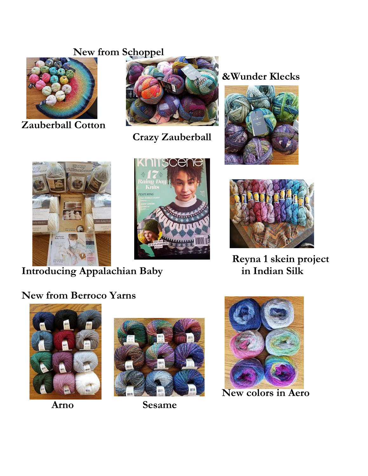# **New from Schoppel**



**Zauberball Cotton**



 **Crazy Zauberball**

# **&Wunder Klecks**









**Reyna 1 skein project Introducing Appalachian Baby in Indian Silk**

# **New from Berroco Yarns**





 **Arno Sesame** 



 **New colors in Aero**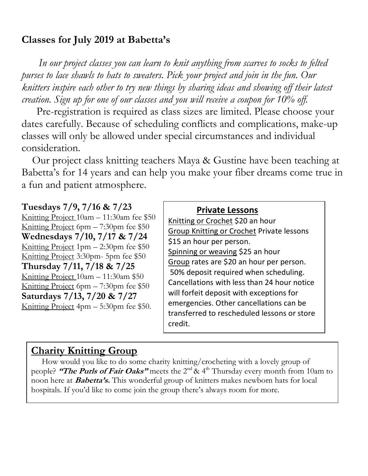# **Classes for July 2019 at Babetta's**

 *In our project classes you can learn to knit anything from scarves to socks to felted purses to lace shawls to hats to sweaters. Pick your project and join in the fun. Our knitters inspire each other to try new things by sharing ideas and showing off their latest creation. Sign up for one of our classes and you will receive a coupon for 10% off.*

Pre-registration is required as class sizes are limited. Please choose your dates carefully. Because of scheduling conflicts and complications, make-up classes will only be allowed under special circumstances and individual consideration.

Our project class knitting teachers Maya & Gustine have been teaching at Babetta's for 14 years and can help you make your fiber dreams come true in a fun and patient atmosphere.

#### **Tuesdays 7/9, 7/16 & 7/23**

Knitting Project 10am – 11:30am fee \$50 Knitting Project 6pm – 7:30pm fee \$50 **Wednesdays 7/10, 7/17 & 7/24** Knitting Project 1pm – 2:30pm fee \$50 Knitting Project 3:30pm- 5pm fee \$50 **Thursday 7/11, 7/18 & 7/25** Knitting Project 10am – 11:30am \$50 Knitting Project 6pm – 7:30pm fee \$50 **Saturdays 7/13, 7/20 & 7/27** Knitting Project 4pm – 5:30pm fee \$50.

#### **Private Lessons**

Knitting or Crochet \$20 an hour Group Knitting or Crochet Private lessons \$15 an hour per person. Spinning or weaving \$25 an hour Group rates are \$20 an hour per person. 50% deposit required when scheduling. Cancellations with less than 24 hour notice will forfeit deposit with exceptions for emergencies. Other cancellations can be transferred to rescheduled lessons or store credit.

### **Charity Knitting Group**

 How would you like to do some charity knitting/crocheting with a lovely group of people? **"The Purls of Fair Oaks"** meets the 2nd & 4th Thursday every month from 10am to noon here at **Babetta's.** This wonderful group of knitters makes newborn hats for local hospitals. If you'd like to come join the group there's always room for more.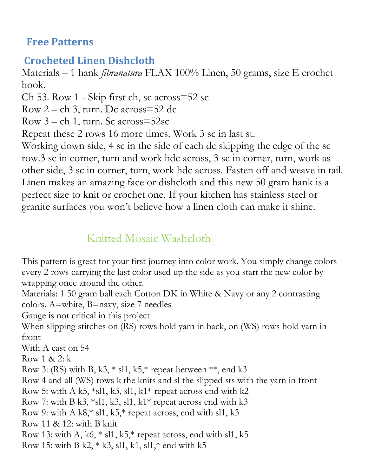# **Free Patterns**

# **Crocheted Linen Dishcloth**

Materials – 1 hank *fibranatura* FLAX 100% Linen, 50 grams, size E crochet hook.

Ch 53. Row 1 - Skip first ch, sc across=52 sc

Row 2 – ch 3, turn. Dc across=52 dc

Row 3 – ch 1, turn. Sc across=52sc

Repeat these 2 rows 16 more times. Work 3 sc in last st.

Working down side, 4 sc in the side of each dc skipping the edge of the sc row.3 sc in corner, turn and work hdc across, 3 sc in corner, turn, work as other side, 3 sc in corner, turn, work hdc across. Fasten off and weave in tail. Linen makes an amazing face or dishcloth and this new 50 gram hank is a perfect size to knit or crochet one. If your kitchen has stainless steel or granite surfaces you won't believe how a linen cloth can make it shine.

# Knitted Mosaic Washcloth

This pattern is great for your first journey into color work. You simply change colors every 2 rows carrying the last color used up the side as you start the new color by wrapping once around the other.

Materials: 1 50 gram ball each Cotton DK in White & Navy or any 2 contrasting colors. A=white, B=navy, size 7 needles

Gauge is not critical in this project

When slipping stitches on (RS) rows hold yarn in back, on (WS) rows hold yarn in front

With A cast on 54

Row 1 & 2: k

Row 3: (RS) with B, k3,  $*$  sl1, k5, $*$  repeat between  $**$ , end k3

Row 4 and all (WS) rows k the knits and sl the slipped sts with the yarn in front

Row 5: with A k5,  $*sl1$ , k3, sl1, k1 $*$  repeat across end with k2

Row 7: with B k3,  $*sl1$ , k3, sl1, k1 $*$  repeat across end with k3

Row 9: with A k8,\* sl1, k5,\* repeat across, end with sl1, k3

Row 11 & 12: with B knit

Row 13: with A, k6,  $*$  sl1, k5, $*$  repeat across, end with sl1, k5

Row 15: with B k2,  $*$  k3, sl1, k1, sl1, $*$  end with k5